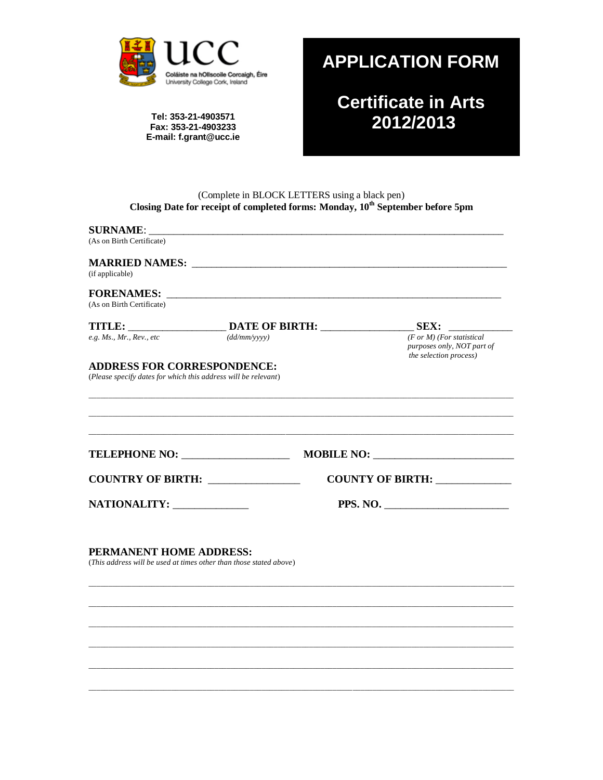

Tel: 353-21-4903571 Fax: 353-21-4903233 E-mail: f.grant@ucc.ie

## **APPLICATION FORM**

**Certificate in Arts** 2012/2013

# (Complete in BLOCK LETTERS using a black pen)<br>Closing Date for receipt of completed forms: Monday,  $10^{th}$  September before 5pm

| (As on Birth Certificate)<br>(if applicable)<br>(dd/mm/vyyy)<br><b>COUNTY OF BIRTH:</b>                                                                                                                                                   | <b>SURNAME:</b>              |  |          |                                                                                              |
|-------------------------------------------------------------------------------------------------------------------------------------------------------------------------------------------------------------------------------------------|------------------------------|--|----------|----------------------------------------------------------------------------------------------|
|                                                                                                                                                                                                                                           |                              |  |          |                                                                                              |
| (As on Birth Certificate)                                                                                                                                                                                                                 |                              |  |          |                                                                                              |
| TITLE: ________________________________DATE OF BIRTH: ___________________________SEX: _____________<br>$e.g.$ Ms., Mr., Rev., etc<br><b>ADDRESS FOR CORRESPONDENCE:</b><br>(Please specify dates for which this address will be relevant) |                              |  |          |                                                                                              |
|                                                                                                                                                                                                                                           |                              |  |          |                                                                                              |
|                                                                                                                                                                                                                                           |                              |  |          | $(F \text{ or } M)$ (For statistical<br>purposes only, NOT part of<br>the selection process) |
| TELEPHONE NO: ___________________<br>COUNTRY OF BIRTH: ______________<br>PERMANENT HOME ADDRESS:<br>(This address will be used at times other than those stated above)                                                                    |                              |  |          |                                                                                              |
|                                                                                                                                                                                                                                           |                              |  |          |                                                                                              |
|                                                                                                                                                                                                                                           | NATIONALITY: _______________ |  | PPS. NO. |                                                                                              |
|                                                                                                                                                                                                                                           |                              |  |          |                                                                                              |
|                                                                                                                                                                                                                                           |                              |  |          |                                                                                              |
|                                                                                                                                                                                                                                           |                              |  |          |                                                                                              |
|                                                                                                                                                                                                                                           |                              |  |          |                                                                                              |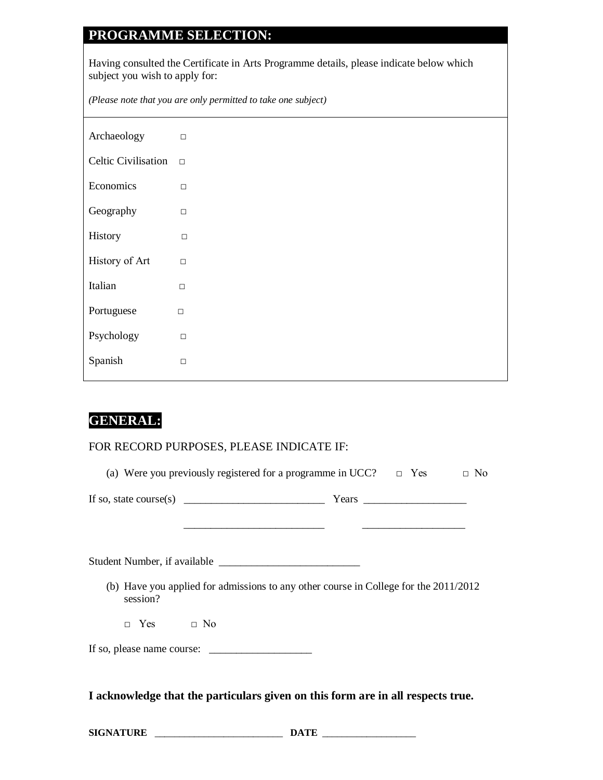## **PROGRAMME SELECTION:**

Having consulted the Certificate in Arts Programme details, please indicate below which subject you wish to apply for:

*(Please note that you are only permitted to take one subject)*

| Archaeology         | $\Box$ |
|---------------------|--------|
| Celtic Civilisation | $\Box$ |
| Economics           | $\Box$ |
| Geography           | $\Box$ |
| History             | $\Box$ |
| History of Art      | $\Box$ |
| Italian             | П      |
| Portuguese          | $\Box$ |
| Psychology          | $\Box$ |
| Spanish             | $\Box$ |

### **GENERAL:**

#### FOR RECORD PURPOSES, PLEASE INDICATE IF:

| (a) Were you previously registered for a programme in UCC? $\Box$ Yes $\Box$ No                    |  |  |
|----------------------------------------------------------------------------------------------------|--|--|
|                                                                                                    |  |  |
|                                                                                                    |  |  |
| (b) Have you applied for admissions to any other course in College for the $2011/2012$<br>session? |  |  |
| $\Box$ Yes $\Box$ No                                                                               |  |  |
|                                                                                                    |  |  |
| I acknowledge that the particulars given on this form are in all respects true.                    |  |  |

| <b>SIGNATURE</b><br>the contract of the contract of the contract of |  | TA. |  |
|---------------------------------------------------------------------|--|-----|--|
|---------------------------------------------------------------------|--|-----|--|